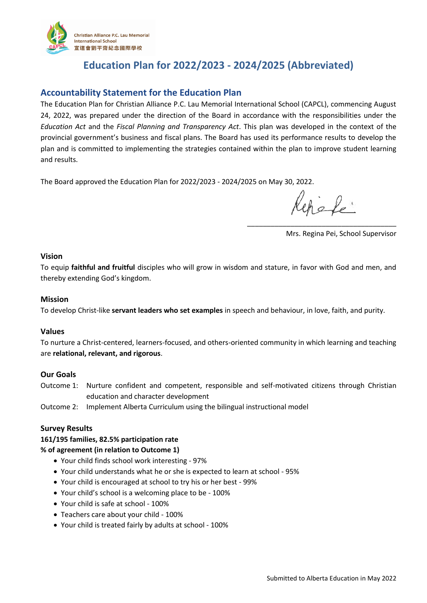

# **Education Plan for 2022/2023 - 2024/2025 (Abbreviated)**

# **Accountability Statement for the Education Plan**

The Education Plan for Christian Alliance P.C. Lau Memorial International School (CAPCL), commencing August 24, 2022, was prepared under the direction of the Board in accordance with the responsibilities under the *Education Act* and the *Fiscal Planning and Transparency Act*. This plan was developed in the context of the provincial government's business and fiscal plans. The Board has used its performance results to develop the plan and is committed to implementing the strategies contained within the plan to improve student learning and results.

The Board approved the Education Plan for 2022/2023 - 2024/2025 on May 30, 2022.

chele

\_\_\_\_\_\_\_\_\_\_\_\_\_\_\_\_\_\_\_\_\_\_\_\_\_\_\_\_\_\_\_\_\_\_\_\_\_\_

Mrs. Regina Pei, School Supervisor

#### **Vision**

To equip **faithful and fruitful** disciples who will grow in wisdom and stature, in favor with God and men, and thereby extending God's kingdom.

#### **Mission**

To develop Christ-like **servant leaders who set examples** in speech and behaviour, in love, faith, and purity.

# **Values**

To nurture a Christ-centered, learners-focused, and others-oriented community in which learning and teaching are **relational, relevant, and rigorous**.

# **Our Goals**

Outcome 1: Nurture confident and competent, responsible and self-motivated citizens through Christian education and character development

Outcome 2: Implement Alberta Curriculum using the bilingual instructional model

#### **Survey Results**

# **161/195 families, 82.5% participation rate**

#### **% of agreement (in relation to Outcome 1)**

- Your child finds school work interesting 97%
- Your child understands what he or she is expected to learn at school 95%
- Your child is encouraged at school to try his or her best 99%
- Your child's school is a welcoming place to be 100%
- Your child is safe at school 100%
- Teachers care about your child 100%
- Your child is treated fairly by adults at school 100%